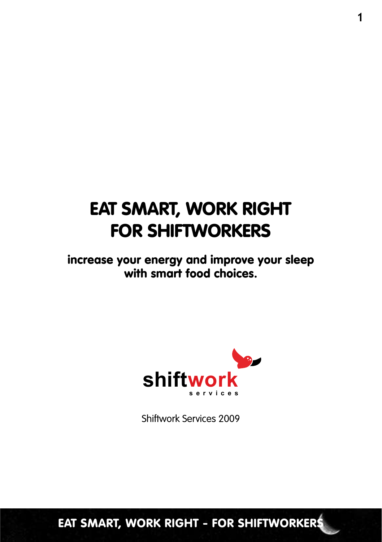### Eat smart, work right for SHIFTWORKERS

increase your energy and improve your sleep with smart food choices.



Shiftwork Services 2009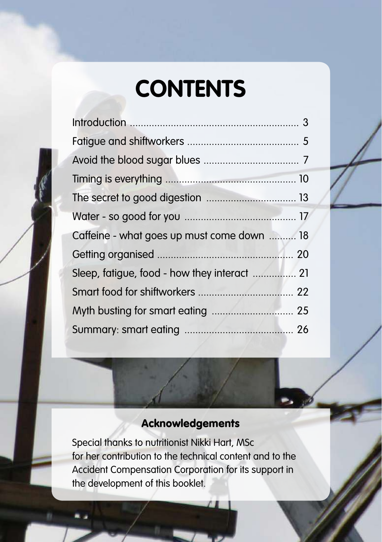## **CONTENTS**

| Caffeine - what goes up must come down  18   |  |
|----------------------------------------------|--|
|                                              |  |
| Sleep, fatigue, food - how they interact  21 |  |
|                                              |  |
|                                              |  |
|                                              |  |

#### Acknowledgements

Special thanks to nutritionist Nikki Hart, MSc for her contribution to the technical content and to the Accident Compensation Corporation for its support in the development of this booklet.

 $E = \frac{1}{\sqrt{2\pi}} \left( \frac{1}{\sqrt{2\pi}} \right)$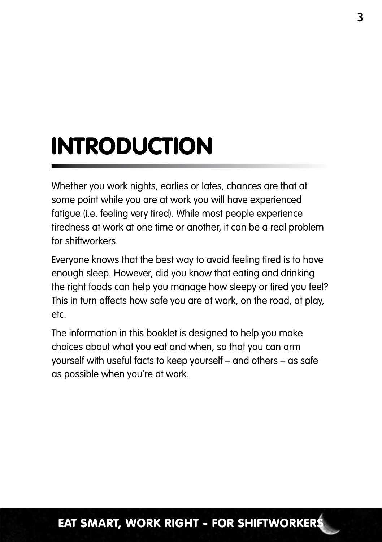# INTRODUCTION

Whether you work nights, earlies or lates, chances are that at some point while you are at work you will have experienced fatigue (i.e. feeling very tired). While most people experience tiredness at work at one time or another, it can be a real problem for shiftworkers.

Everyone knows that the best way to avoid feeling tired is to have enough sleep. However, did you know that eating and drinking the right foods can help you manage how sleepy or tired you feel? This in turn affects how safe you are at work, on the road, at play, etc.

The information in this booklet is designed to help you make choices about what you eat and when, so that you can arm yourself with useful facts to keep yourself – and others – as safe as possible when you're at work.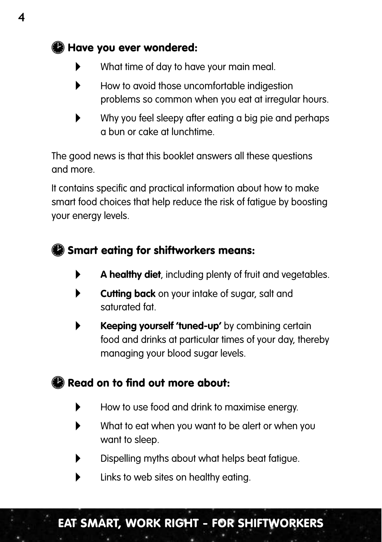### Have you ever wondered:

- What time of day to have your main meal.
- How to avoid those uncomfortable indigestion problems so common when you eat at irregular hours.
- Why you feel sleepy after eating a big pie and perhaps a bun or cake at lunchtime.

The good news is that this booklet answers all these questions and more.

It contains specific and practical information about how to make smart food choices that help reduce the risk of fatigue by boosting your energy levels.

### **S** Smart eating for shiftworkers means:

- **A healthy diet**, including plenty of fruit and vegetables.
- **Cutting back** on your intake of sugar, salt and saturated fat.
- **Keeping yourself 'tuned-up'** by combining certain food and drinks at particular times of your day, thereby managing your blood sugar levels.

### $\bullet$  Read on to find out more about:

- How to use food and drink to maximise energy.
- What to eat when you want to be alert or when you want to sleep.
- Dispelling myths about what helps beat fatigue.
- Links to web sites on healthy eating.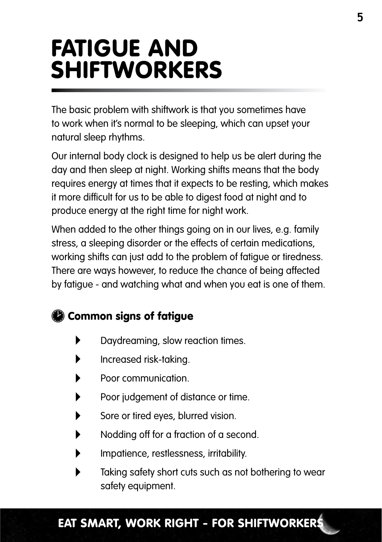## Fatigue and shiftworkers

The basic problem with shiftwork is that you sometimes have to work when it's normal to be sleeping, which can upset your natural sleep rhythms.

Our internal body clock is designed to help us be alert during the day and then sleep at night. Working shifts means that the body requires energy at times that it expects to be resting, which makes it more difficult for us to be able to digest food at night and to produce energy at the right time for night work.

When added to the other things going on in our lives, e.g. family stress, a sleeping disorder or the effects of certain medications, working shifts can just add to the problem of fatigue or tiredness. There are ways however, to reduce the chance of being affected by fatigue - and watching what and when you eat is one of them.

### **Common signs of fatigue**

- Daydreaming, slow reaction times.
- Increased risk-taking.
- Poor communication.
- Poor judgement of distance or time.
- Sore or tired eyes, blurred vision.
- Nodding off for a fraction of a second.
- Impatience, restlessness, irritability.
- Taking safety short cuts such as not bothering to wear safety equipment.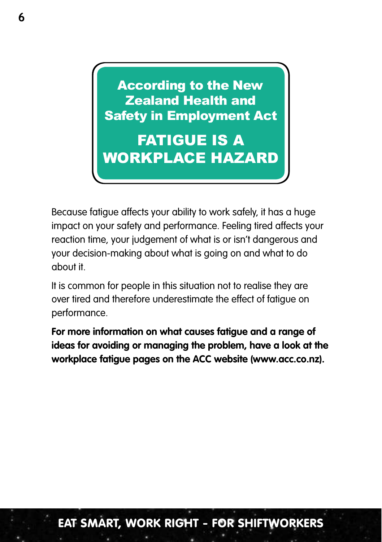**According to the New Rollen Frontin City** Safety in Employment Act Zealand Health and

**FATIGUE IS A ▪ Baked Beans ▪ Yams ▪ Taro WORKPLACE HAZARD** 

Because fatigue affects your ability to work safely, it has a huge impact on your safety and performance. Feeling tired affects your reaction time, your judgement of what is or isn't dangerous and your decision-making about what is going on and what to do about it.

It is common for people in this situation not to realise they are over tired and therefore underestimate the effect of fatigue on performance.

**For more information on what causes fatigue and a range of ideas for avoiding or managing the problem, have a look at the workplace fatigue pages on the ACC website (www.acc.co.nz).**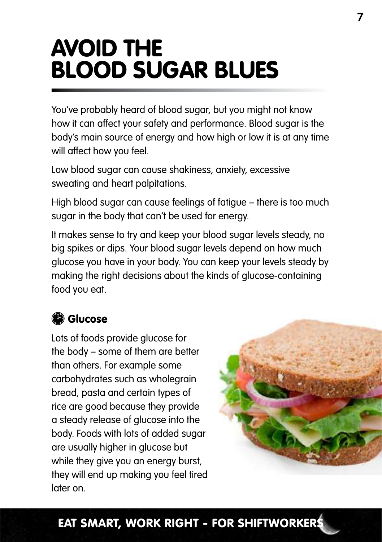## Avoid the blood sugar blues

You've probably heard of blood sugar, but you might not know how it can affect your safety and performance. Blood sugar is the body's main source of energy and how high or low it is at any time will affect how you feel.

Low blood sugar can cause shakiness, anxiety, excessive sweating and heart palpitations.

High blood sugar can cause feelings of fatigue – there is too much sugar in the body that can't be used for energy.

It makes sense to try and keep your blood sugar levels steady, no big spikes or dips. Your blood sugar levels depend on how much glucose you have in your body. You can keep your levels steady by making the right decisions about the kinds of glucose-containing food you eat.

### **C** Glucose

Lots of foods provide glucose for the body – some of them are better than others. For example some carbohydrates such as wholegrain bread, pasta and certain types of rice are good because they provide a steady release of glucose into the body. Foods with lots of added sugar are usually higher in glucose but while they give you an energy burst. they will end up making you feel tired later on.

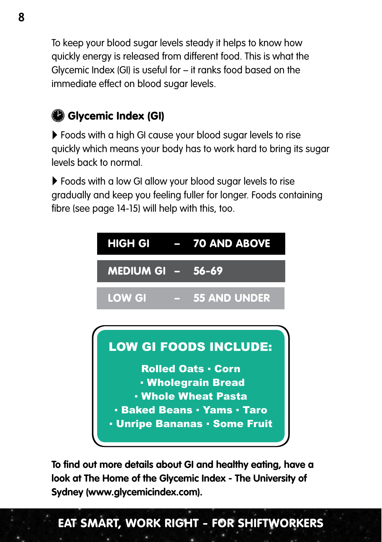To keep your blood sugar levels steady it helps to know how quickly energy is released from different food. This is what the Glycemic Index (GI) is useful for – it ranks food based on the immediate effect on blood sugar levels.

### Glycemic Index (GI)

 Foods with a high GI cause your blood sugar levels to rise quickly which means your body has to work hard to bring its sugar levels back to normal.

 Foods with a low GI allow your blood sugar levels to rise gradually and keep you feeling fuller for longer. Foods containing fibre (see page 14-15) will help with this, too.



**To find out more details about GI and healthy eating, have a look at The Home of the Glycemic Index - The University of Sydney (www.glycemicindex.com).**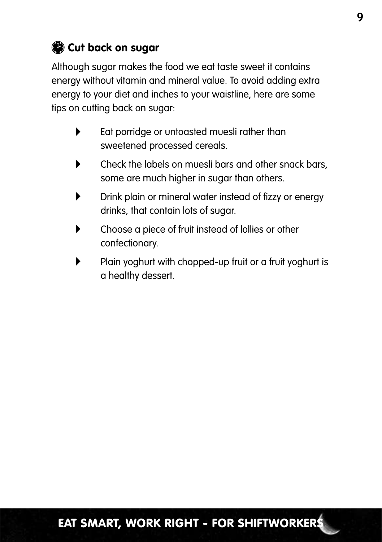### Cut back on sugar

Although sugar makes the food we eat taste sweet it contains energy without vitamin and mineral value. To avoid adding extra energy to your diet and inches to your waistline, here are some tips on cutting back on sugar:

- Eat porridge or untoasted muesli rather than sweetened processed cereals.
- Check the labels on muesli bars and other snack bars, some are much higher in sugar than others.
- Drink plain or mineral water instead of fizzy or energy drinks, that contain lots of sugar.
- Choose a piece of fruit instead of lollies or other confectionary.
- Plain yoghurt with chopped-up fruit or a fruit yoghurt is a healthy dessert.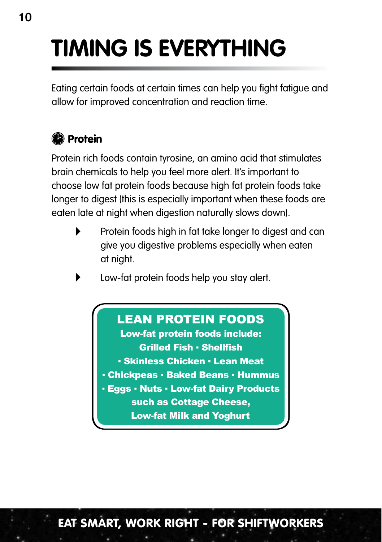# **Timing is everything**

Eating certain foods at certain times can help you fight fatigue and allow for improved concentration and reaction time.

### <sup>2</sup> Protein

Protein rich foods contain tyrosine, an amino acid that stimulates brain chemicals to help you feel more alert. It's important to choose low fat protein foods because high fat protein foods take longer to digest (this is especially important when these foods are eaten late at night when digestion naturally slows down).

- Protein foods high in fat take longer to digest and can give you digestive problems especially when eaten at night.
- Low-fat protein foods help you stay alert.

### LEAN PROTEIN FOODS

**Grilled Fish • Shellfish • Skinless Chicken • Lean Meat** Low-fat protein foods include:

- **Chickpeas Baked Beans Hummus**
- **Eggs Nuts Low-fat Dairy Products**

such as Cottage Cheese, Low-fat Milk and Yoghurt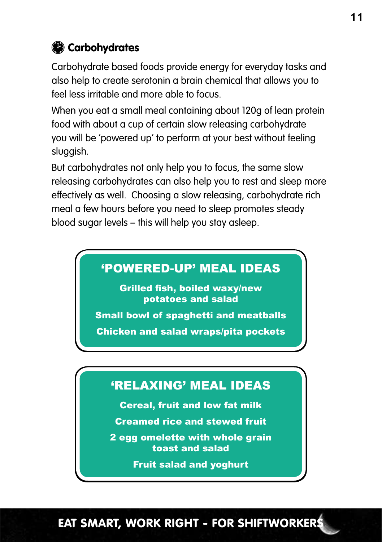### **Carbohydrates**

Carbohydrate based foods provide energy for everyday tasks and also help to create serotonin a brain chemical that allows you to feel less irritable and more able to focus.

When you eat a small meal containing about 120g of lean protein food with about a cup of certain slow releasing carbohydrate you will be 'powered up' to perform at your best without feeling sluggish.

But carbohydrates not only help you to focus, the same slow releasing carbohydrates can also help you to rest and sleep more effectively as well. Choosing a slow releasing, carbohydrate rich meal a few hours before you need to sleep promotes steady blood sugar levels – this will help you stay asleep.

### 'POWERED-UP' MEAL IDEAS

Grilled fish, boiled waxy/new potatoes and salad

Small bowl of spaghetti and meatballs

Chicken and salad wraps/pita pockets

### 'RELAXING' MEAL IDEAS

Cereal, fruit and low fat milk

Creamed rice and stewed fruit

2 egg omelette with whole grain toast and salad

Fruit salad and yoghurt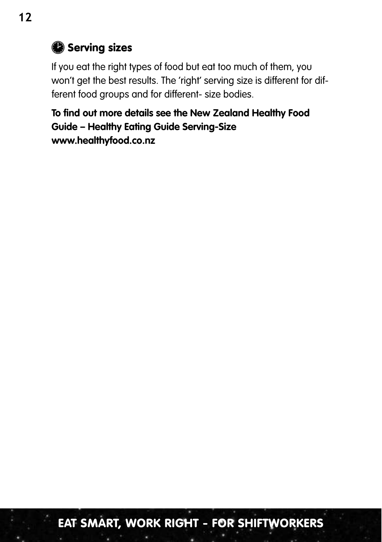### Serving sizes

If you eat the right types of food but eat too much of them, you won't get the best results. The 'right' serving size is different for different food groups and for different- size bodies.

**To find out more details see the New Zealand Healthy Food Guide – Healthy Eating Guide Serving-Size www.healthyfood.co.nz**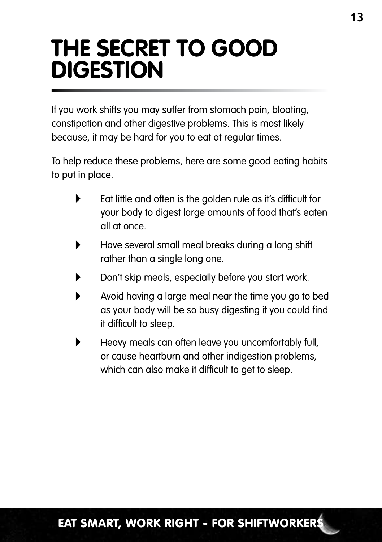### **THE SECRET TO GOOD DIGESTION**

If you work shifts you may suffer from stomach pain, bloating, constipation and other digestive problems. This is most likely because, it may be hard for you to eat at regular times.

To help reduce these problems, here are some good eating habits to put in place.

- Eat little and often is the golden rule as it's difficult for your body to digest large amounts of food that's eaten all at once.
- Have several small meal breaks during a long shift rather than a single long one.
- Don't skip meals, especially before you start work.
- Avoid having a large meal near the time you go to bed as your body will be so busy digesting it you could find it difficult to sleep.
- Heavy meals can often leave you uncomfortably full, or cause heartburn and other indigestion problems, which can also make it difficult to get to sleep.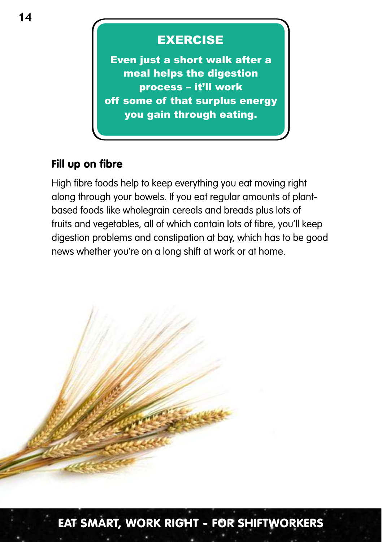### low **Exercise**

Even just a short walk after a meal helps the digestion process – it'll work off some of that surplus energy you gain through eating<mark>.</mark>

#### Fill up on fibre

High fibre foods help to keep everything you eat moving right along through your bowels. If you eat regular amounts of plantbased foods like wholegrain cereals and breads plus lots of fruits and vegetables, all of which contain lots of fibre, you'll keep digestion problems and constipation at bay, which has to be good news whether you're on a long shift at work or at home.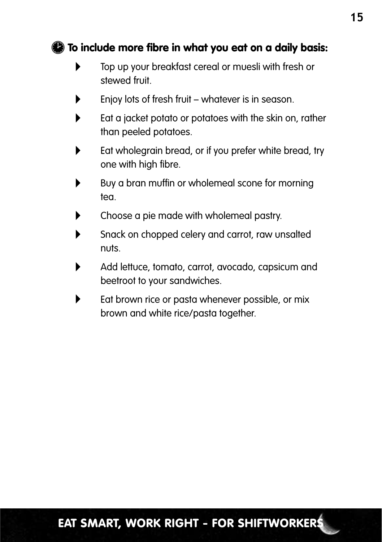#### To include more fibre in what you eat on a daily basis:

- Top up your breakfast cereal or muesli with fresh or stewed fruit.
- Enjoy lots of fresh fruit whatever is in season.
- Eat a jacket potato or potatoes with the skin on, rather than peeled potatoes.
- Eat wholegrain bread, or if you prefer white bread, try one with high fibre.
- Buy a bran muffin or wholemeal scone for morning tea.
- **EXECHOOSE A pie made with wholemeal pastry.**
- Snack on chopped celery and carrot, raw unsalted nuts.
- Add lettuce, tomato, carrot, avocado, capsicum and beetroot to your sandwiches.
- Eat brown rice or pasta whenever possible, or mix brown and white rice/pasta together.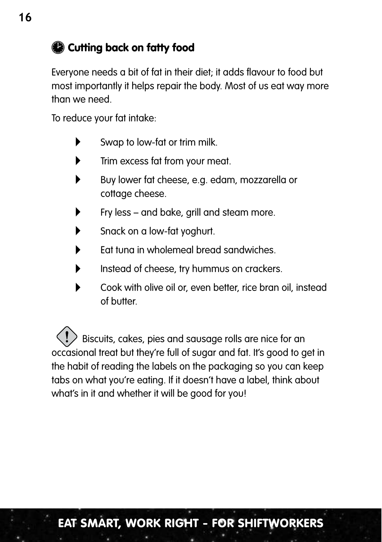### Cutting back on fatty food

Everyone needs a bit of fat in their diet; it adds flavour to food but most importantly it helps repair the body. Most of us eat way more than we need.

To reduce your fat intake:

- Swap to low-fat or trim milk.
- **Trim excess fat from your meat.**
- Buy lower fat cheese, e.g. edam, mozzarella or cottage cheese.
- Fry less and bake, grill and steam more.
- Snack on a low-fat yoghurt.
- Eat tuna in wholemeal bread sandwiches.
- Instead of cheese, try hummus on crackers.
- Cook with olive oil or, even better, rice bran oil, instead of butter.

 Biscuits, cakes, pies and sausage rolls are nice for an occasional treat but they're full of sugar and fat. It's good to get in the habit of reading the labels on the packaging so you can keep tabs on what you're eating. If it doesn't have a label, think about what's in it and whether it will be good for you!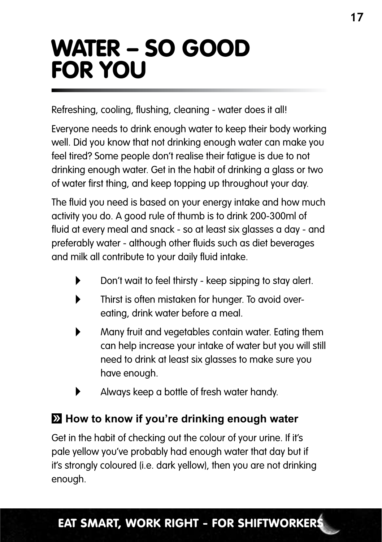## Water – so good for you

Refreshing, cooling, flushing, cleaning - water does it all!

Everyone needs to drink enough water to keep their body working well. Did you know that not drinking enough water can make you feel tired? Some people don't realise their fatigue is due to not drinking enough water. Get in the habit of drinking a glass or two of water first thing, and keep topping up throughout your day.

The fluid you need is based on your energy intake and how much activity you do. A good rule of thumb is to drink 200-300ml of fluid at every meal and snack - so at least six glasses a day - and preferably water - although other fluids such as diet beverages and milk all contribute to your daily fluid intake.

- Don't wait to feel thirsty keep sipping to stay alert.
- Thirst is often mistaken for hunger. To avoid overeating, drink water before a meal.
- Many fruit and vegetables contain water. Eating them can help increase your intake of water but you will still need to drink at least six glasses to make sure you have enough.
- Always keep a bottle of fresh water handy.

### **How to know if you're drinking enough water**

Get in the habit of checking out the colour of your urine. If it's pale yellow you've probably had enough water that day but if it's strongly coloured (i.e. dark yellow), then you are not drinking enough.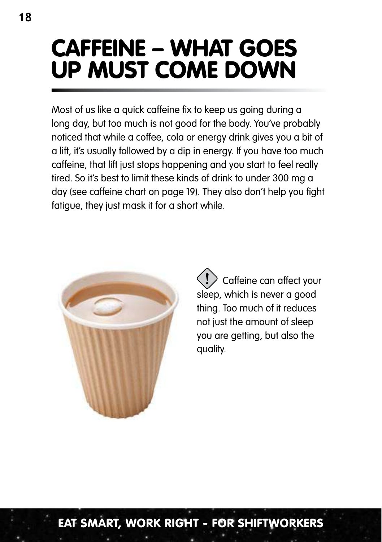## Caffeine – what goes up must come down

Most of us like a quick caffeine fix to keep us going during a long day, but too much is not good for the body. You've probably noticed that while a coffee, cola or energy drink gives you a bit of a lift, it's usually followed by a dip in energy. If you have too much caffeine, that lift just stops happening and you start to feel really tired. So it's best to limit these kinds of drink to under 300 mg a day (see caffeine chart on page 19). They also don't help you fight fatigue, they just mask it for a short while.



 Caffeine can affect your sleep, which is never a good thing. Too much of it reduces not just the amount of sleep you are getting, but also the quality.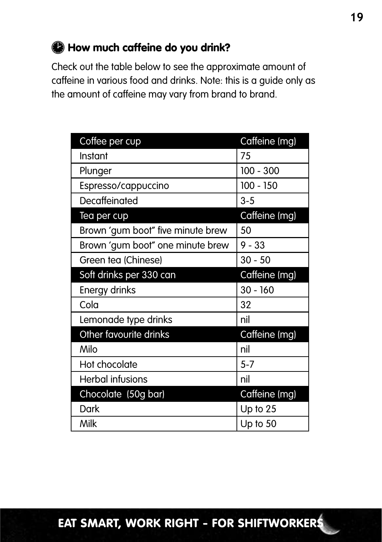### How much caffeine do you drink?

Check out the table below to see the approximate amount of caffeine in various food and drinks. Note: this is a guide only as the amount of caffeine may vary from brand to brand.

| Coffee per cup                    | Caffeine (mg) |
|-----------------------------------|---------------|
| Instant                           | 75            |
| Plunger                           | $100 - 300$   |
| Espresso/cappuccino               | 100 - 150     |
| Decaffeinated                     | $3 - 5$       |
| Tea per cup                       | Caffeine (mg) |
| Brown 'gum boot" five minute brew | 50            |
| Brown 'gum boot" one minute brew  | $9 - 33$      |
| Green tea (Chinese)               | $30 - 50$     |
| Soft drinks per 330 can           | Caffeine (mg) |
| Energy drinks                     | $30 - 160$    |
| Cola                              | 32            |
| Lemonade type drinks              | nil           |
| Other favourite drinks            | Caffeine (mg) |
| Milo                              | nil           |
| Hot chocolate                     | $5 - 7$       |
| <b>Herbal infusions</b>           | nil           |
| Chocolate (50g bar)               | Caffeine (mg) |
| Dark                              | Up to $25$    |
| Milk                              | Up to 50      |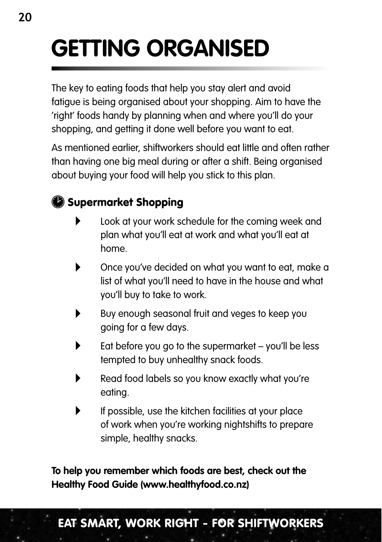# **Getting organised**

The key to eating foods that help you stay alert and avoid fatigue is being organised about your shopping. Aim to have the 'right' foods handy by planning when and where you'll do your shopping, and getting it done well before you want to eat.

As mentioned earlier, shiftworkers should eat little and often rather than having one big meal during or after a shift. Being organised about buying your food will help you stick to this plan.

### Supermarket Shopping

- Look at your work schedule for the coming week and plan what you'll eat at work and what you'll eat at home.
- Once you've decided on what you want to eat, make a list of what you'll need to have in the house and what you'll buy to take to work.
- Buy enough seasonal fruit and veges to keep you going for a few days.
- Eat before you go to the supermarket you'll be less tempted to buy unhealthy snack foods.
- Read food labels so you know exactly what you're eating.
- If possible, use the kitchen facilities at your place of work when you're working nightshifts to prepare simple, healthy snacks.

**To help you remember which foods are best, check out the Healthy Food Guide (www.healthyfood.co.nz)**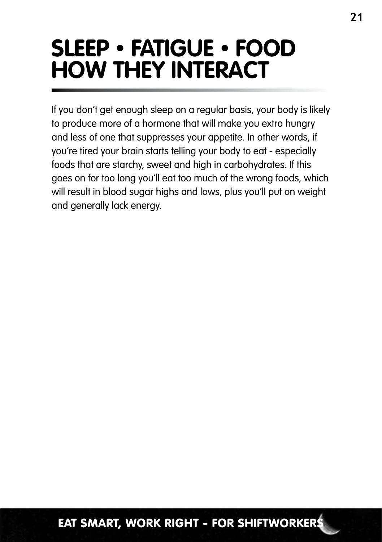### **SLEEP • fatigue • FOOD how they interact**

If you don't get enough sleep on a regular basis, your body is likely to produce more of a hormone that will make you extra hungry and less of one that suppresses your appetite. In other words, if you're tired your brain starts telling your body to eat - especially foods that are starchy, sweet and high in carbohydrates. If this goes on for too long you'll eat too much of the wrong foods, which will result in blood sugar highs and lows, plus you'll put on weight and generally lack energy.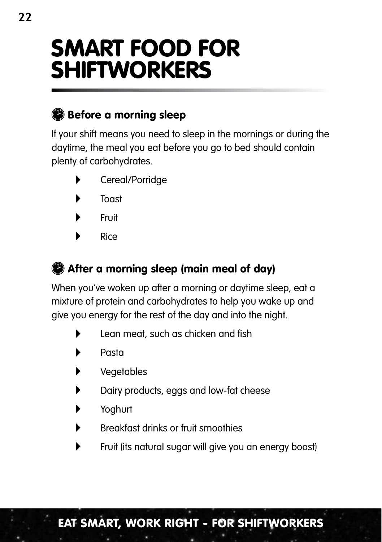### Smart food for shiftworkers

### Before a morning sleep

If your shift means you need to sleep in the mornings or during the daytime, the meal you eat before you go to bed should contain plenty of carbohydrates.

- Cereal/Porridge
- Toast
- Fruit
- Rice

### After a morning sleep (main meal of day)

When you've woken up after a morning or daytime sleep, eat a mixture of protein and carbohydrates to help you wake up and give you energy for the rest of the day and into the night.

- **Lean meat, such as chicken and fish**
- Pasta
- **Vegetables**
- Dairy products, eggs and low-fat cheese
- Yoghurt
- Breakfast drinks or fruit smoothies
- Fruit (its natural sugar will give you an energy boost)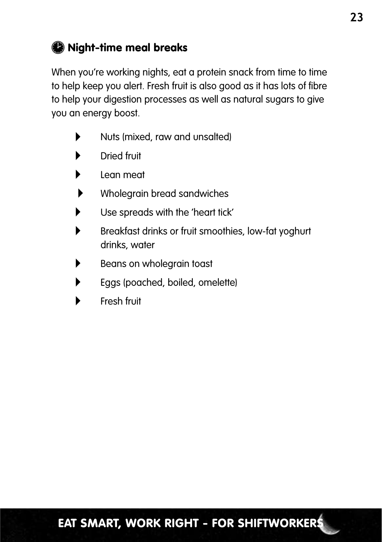### $\bullet$  Night-time meal breaks

When you're working nights, eat a protein snack from time to time to help keep you alert. Fresh fruit is also good as it has lots of fibre to help your digestion processes as well as natural sugars to give you an energy boost.

- Nuts (mixed, raw and unsalted)
- Dried fruit
- Lean meat
- Wholegrain bread sandwiches
- Use spreads with the 'heart tick'
- Breakfast drinks or fruit smoothies, low-fat yoghurt drinks, water
- Beans on wholegrain toast
- Eggs (poached, boiled, omelette)
- Fresh fruit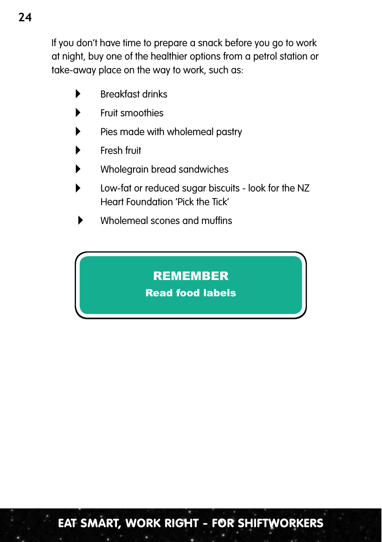If you don't have time to prepare a snack before you go to work at night, buy one of the healthier options from a petrol station or take-away place on the way to work, such as:

- $\blacktriangleright$  Breakfast drinks
- Fruit smoothies
- Pies made with wholemeal pastry
- Fresh fruit
- Wholegrain bread sandwiches
- Low-fat or reduced sugar biscuits look for the NZ Heart Foundation 'Pick the Tick'
- Wholemeal scones and muffins

### **REMEMBER**

### Read food labels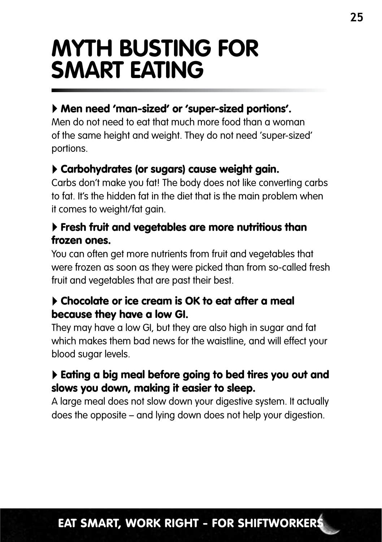### **Myth busting for smart eating**

#### Men need 'man-sized' or 'super-sized portions'.

Men do not need to eat that much more food than a woman of the same height and weight. They do not need 'super-sized' portions.

#### Carbohydrates (or sugars) cause weight gain.

Carbs don't make you fat! The body does not like converting carbs to fat. It's the hidden fat in the diet that is the main problem when it comes to weight/fat gain.

#### Fresh fruit and vegetables are more nutritious than frozen ones.

You can often get more nutrients from fruit and vegetables that were frozen as soon as they were picked than from so-called fresh fruit and vegetables that are past their best.

#### Chocolate or ice cream is OK to eat after a meal because they have a low GI.

They may have a low GI, but they are also high in sugar and fat which makes them bad news for the waistline, and will effect your blood sugar levels.

#### Eating a big meal before going to bed tires you out and slows you down, making it easier to sleep.

A large meal does not slow down your digestive system. It actually does the opposite – and lying down does not help your digestion.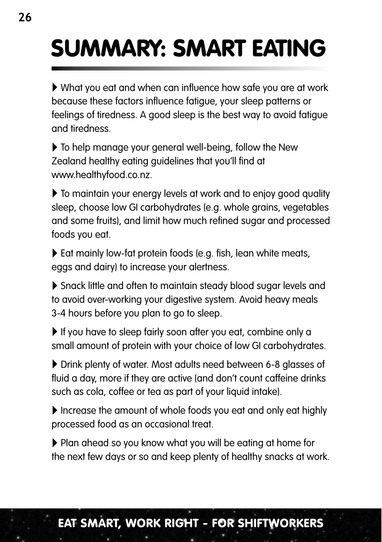# Summary: smart eating

 What you eat and when can influence how safe you are at work because these factors influence fatigue, your sleep patterns or feelings of tiredness. A good sleep is the best way to avoid fatigue and tiredness.

 $\triangleright$  To help manage your general well-being, follow the New Zealand healthy eating guidelines that you'll find at www.healthyfood.co.nz.

 $\triangleright$  To maintain your energy levels at work and to enjoy good quality sleep, choose low GI carbohydrates (e.g. whole grains, vegetables and some fruits), and limit how much refined sugar and processed foods you eat.

Eat mainly low-fat protein foods (e.g. fish, lean white meats, eggs and dairy) to increase your alertness.

 Snack little and often to maintain steady blood sugar levels and to avoid over-working your digestive system. Avoid heavy meals 3-4 hours before you plan to go to sleep.

If you have to sleep fairly soon after you eat, combine only a small amount of protein with your choice of low GI carbohydrates.

 Drink plenty of water. Most adults need between 6-8 glasses of fluid a day, more if they are active (and don't count caffeine drinks such as cola, coffee or tea as part of your liquid intake).

Increase the amount of whole foods you eat and only eat highly processed food as an occasional treat.

 Plan ahead so you know what you will be eating at home for the next few days or so and keep plenty of healthy snacks at work.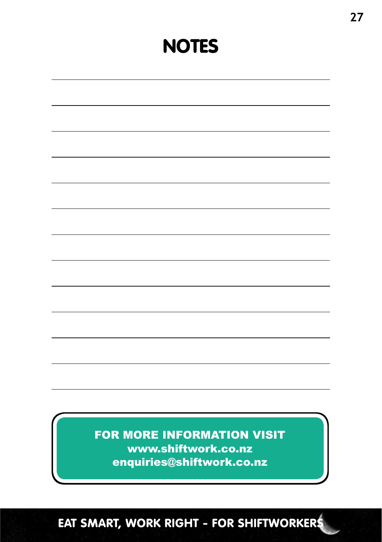### **NOTES**

| FOR MORE INFORMATION VISIT<br>www.shiftwork.co.nz |  |
|---------------------------------------------------|--|
| enquiries@shiftwork.co.nz                         |  |